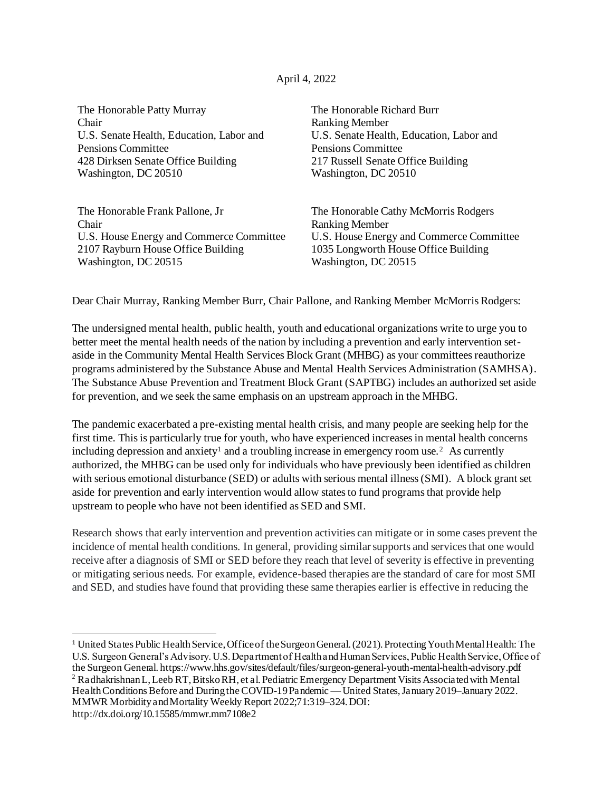## April 4, 2022

The Honorable Patty Murray Chair U.S. Senate Health, Education, Labor and Pensions Committee 428 Dirksen Senate Office Building Washington, DC 20510

The Honorable Frank Pallone, Jr Chair U.S. House Energy and Commerce Committee 2107 Rayburn House Office Building Washington, DC 20515

The Honorable Richard Burr Ranking Member U.S. Senate Health, Education, Labor and Pensions Committee 217 Russell Senate Office Building Washington, DC 20510

The Honorable Cathy McMorris Rodgers Ranking Member U.S. House Energy and Commerce Committee 1035 Longworth House Office Building Washington, DC 20515

Dear Chair Murray, Ranking Member Burr, Chair Pallone, and Ranking Member McMorris Rodgers:

The undersigned mental health, public health, youth and educational organizations write to urge you to better meet the mental health needs of the nation by including a prevention and early intervention setaside in the Community Mental Health Services Block Grant (MHBG) as your committees reauthorize programs administered by the Substance Abuse and Mental Health Services Administration (SAMHSA). The Substance Abuse Prevention and Treatment Block Grant (SAPTBG) includes an authorized set aside for prevention, and we seek the same emphasis on an upstream approach in the MHBG.

The pandemic exacerbated a pre-existing mental health crisis, and many people are seeking help for the first time. This is particularly true for youth, who have experienced increases in mental health concerns including depression and anxiety<sup>1</sup> and a troubling increase in emergency room use.<sup>2</sup> As currently authorized, the MHBG can be used only for individuals who have previously been identified as children with serious emotional disturbance (SED) or adults with serious mental illness (SMI). A block grant set aside for prevention and early intervention would allow states to fund programs that provide help upstream to people who have not been identified as SED and SMI.

Research shows that early intervention and prevention activities can mitigate or in some cases prevent the incidence of mental health conditions. In general, providing similar supports and services that one would receive after a diagnosis of SMI or SED before they reach that level of severity is effective in preventing or mitigating serious needs. For example, evidence-based therapies are the standard of care for most SMI and SED, and studies have found that providing these same therapies earlier is effective in reducing the

http://dx.doi.org/10.15585/mmwr.mm7108e2

<sup>1</sup> United States Public Health Service, Office of the Surgeon General. (2021). Protecting Youth Mental Health: The U.S. Surgeon General's Advisory. U.S. Department of Health and Human Services, Public Health Service, Office of the Surgeon General. https://www.hhs.gov/sites/default/files/surgeon-general-youth-mental-health-advisory.pdf <sup>2</sup> Radhakrishnan L, Leeb RT, Bitsko RH, et al. Pediatric Emergency Department Visits Associated with Mental Health Conditions Before and During the COVID-19 Pandemic — United States, January 2019–January 2022. MMWR Morbidity and Mortality Weekly Report 2022;71:319–324. DOI: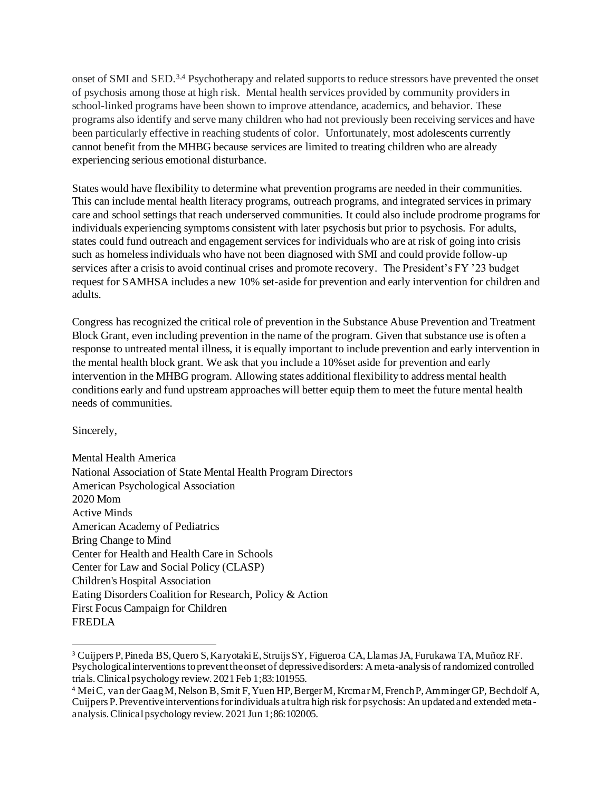onset of SMI and SED.<sup>3,4</sup> Psychotherapy and related supports to reduce stressors have prevented the onset of psychosis among those at high risk. Mental health services provided by community providers in school-linked programs have been shown to improve attendance, academics, and behavior. These programs also identify and serve many children who had not previously been receiving services and have been particularly effective in reaching students of color. Unfortunately, most adolescents currently cannot benefit from the MHBG because services are limited to treating children who are already experiencing serious emotional disturbance.

States would have flexibility to determine what prevention programs are needed in their communities. This can include mental health literacy programs, outreach programs, and integrated services in primary care and school settings that reach underserved communities. It could also include prodrome programs for individuals experiencing symptoms consistent with later psychosis but prior to psychosis. For adults, states could fund outreach and engagement services for individuals who are at risk of going into crisis such as homeless individuals who have not been diagnosed with SMI and could provide follow-up services after a crisis to avoid continual crises and promote recovery. The President's FY '23 budget request for SAMHSA includes a new 10% set-aside for prevention and early intervention for children and adults.

Congress has recognized the critical role of prevention in the Substance Abuse Prevention and Treatment Block Grant, even including prevention in the name of the program. Given that substance use is often a response to untreated mental illness, it is equally important to include prevention and early intervention in the mental health block grant. We ask that you include a 10%set aside for prevention and early intervention in the MHBG program. Allowing states additional flexibility to address mental health conditions early and fund upstream approaches will better equip them to meet the future mental health needs of communities.

Sincerely,

Mental Health America National Association of State Mental Health Program Directors American Psychological Association 2020 Mom Active Minds American Academy of Pediatrics Bring Change to Mind Center for Health and Health Care in Schools Center for Law and Social Policy (CLASP) Children's Hospital Association Eating Disorders Coalition for Research, Policy & Action First Focus Campaign for Children FREDLA

<sup>3</sup> Cuijpers P, Pineda BS, Quero S, Karyotaki E, Struijs SY, Figueroa CA, Llamas JA, Furukawa TA, Muñoz RF. Psychological interventions to prevent the onset of depressive disorders: A meta-analysis of randomized controlled trials. Clinical psychology review. 2021 Feb 1;83:101955.

<sup>4</sup> Mei C, van der Gaag M, Nelson B, Smit F, Yuen HP, Berger M, Krcmar M, French P, Amminger GP, Bechdolf A, Cuijpers P. Preventive interventions for individuals at ultra high risk for psychosis: An updated and extended metaanalysis. Clinical psychology review. 2021 Jun 1;86:102005.